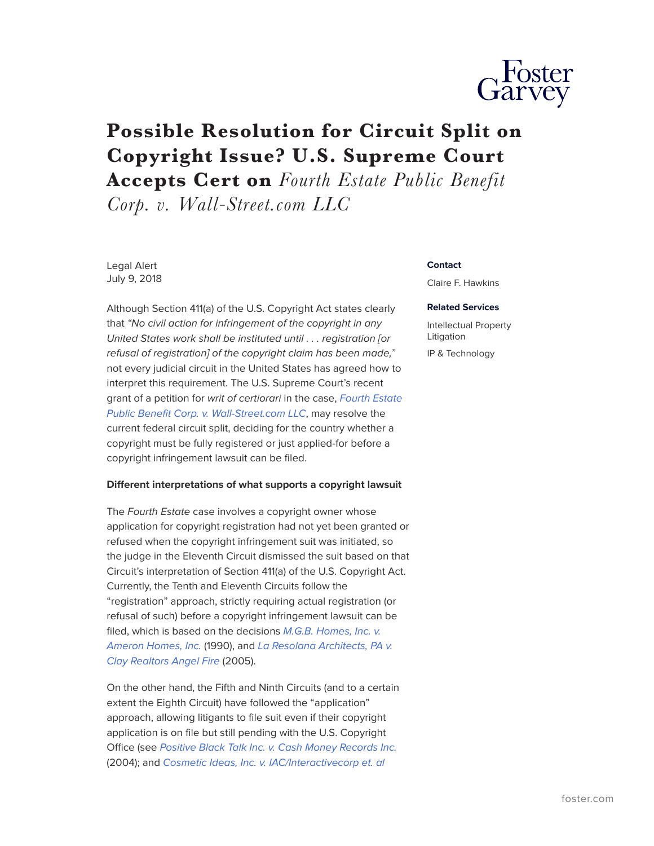

# **Possible Resolution for Circuit Split on Copyright Issue? U.S. Supreme Court**

**Accepts Cert on** *Fourth Estate Public Benefit*

*Corp. v. Wall-Street.com LLC*

Legal Alert July 9, 2018

Although Section 411(a) of the U.S. Copyright Act states clearly that *"No civil action for infringement of the copyright in any United States work shall be instituted until . . . registration [or refusal of registration] of the copyright claim has been made,"* not every judicial circuit in the United States has agreed how to interpret this requirement. The U.S. Supreme Court's recent grant of a petition for *writ of certiorari* in the case, *[Fourth Estate](http://www.jurisnote.com/Case/four372.pdf) [Public Benefit Corp. v. Wall-Street.com LLC](http://www.jurisnote.com/Case/four372.pdf)*, may resolve the current federal circuit split, deciding for the country whether a copyright must be fully registered or just applied-for before a copyright infringement lawsuit can be filed.

## **Different interpretations of what supports a copyright lawsuit**

The *Fourth Estate* case involves a copyright owner whose application for copyright registration had not yet been granted or refused when the copyright infringement suit was initiated, so the judge in the Eleventh Circuit dismissed the suit based on that Circuit's interpretation of Section 411(a) of the U.S. Copyright Act. Currently, the Tenth and Eleventh Circuits follow the "registration" approach, strictly requiring actual registration (or refusal of such) before a copyright infringement lawsuit can be filed, which is based on the decisions *[M.G.B. Homes, Inc. v.](https://scholar.google.com/scholar_case?case=15621623595017124853&hl=en&as_sdt=6&as_vis=1&oi=scholarr%5d)) [Ameron Homes, Inc.](https://scholar.google.com/scholar_case?case=15621623595017124853&hl=en&as_sdt=6&as_vis=1&oi=scholarr%5d))* (1990), and *[La Resolana Architects, PA v.](https://scholar.google.com/scholar_case?case=7692029273070908763&hl=en&as_sdt=6&as_vis=1&oi=scholarr%5d).) [Clay Realtors Angel Fire](https://scholar.google.com/scholar_case?case=7692029273070908763&hl=en&as_sdt=6&as_vis=1&oi=scholarr%5d).)* (2005).

On the other hand, the Fifth and Ninth Circuits (and to a certain extent the Eighth Circuit) have followed the "application" approach, allowing litigants to file suit even if their copyright application is on file but still pending with the U.S. Copyright Office (see *[Positive Black Talk Inc. v. Cash Money Records Inc.](https://scholar.google.com/scholar_case?case=16404673936389720406&hl=en&as_sdt=6&as_vis=1&oi=scholarr%5d)* (2004); and *[Cosmetic Ideas, Inc. v. IAC/Interactivecorp et. al](https://caselaw.findlaw.com/us-9th-circuit/1525044.html)*

#### **Contact**

Claire F. Hawkins

#### **Related Services**

Intellectual Property Litigation

IP & Technology